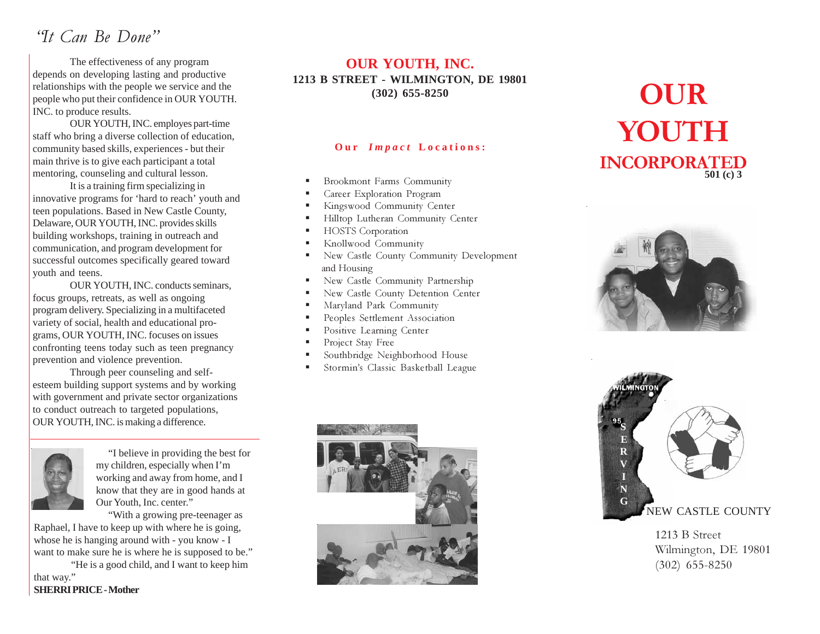# "It Can Be Done"

The effectiveness of any program depends on developing lasting and productive relationships with the people we service and the people who put their confidence in OUR YOUTH. INC. to produce results.

OUR YOUTH, INC. employes part-time staff who bring a diverse collection of education, community based skills, experiences - but their main thrive is to give each participant a total mentoring, counseling and cultural lesson.

It is a training firm specializing in innovative programs for 'hard to reach' youth and teen populations. Based in New Castle County, Delaware, OUR YOUTH, INC. provides skills building workshops, training in outreach and communication, and program development for successful outcomes specifically geared toward youth and teens.

OUR YOUTH, INC. conducts seminars, focus groups, retreats, as well as ongoing program delivery. Specializing in a multifaceted variety of social, health and educational programs, OUR YOUTH, INC. focuses on issues confronting teens today such as teen pregnancy prevention and violence prevention.

Through peer counseling and selfesteem building support systems and by working with government and private sector organizations to conduct outreach to targeted populations, OUR YOUTH, INC. is making a difference.



"I believe in providing the best for my children, especially when I'm working and away from home, and I know that they are in good hands at Our Youth, Inc. center."

"With a growing pre-teenager as Raphael, I have to keep up with where he is going, whose he is hanging around with - you know - I want to make sure he is where he is supposed to be."

"He is a good child, and I want to keep him that way."

**SHERRI PRICE- Mother**

## **OUR YOUTH, INC. 1213 B STREET - WILMINGTON, DE 19801 (302) 655-8250**

#### **Our** *Impact* Locations:

- Brookmont Farms Community
- Career Exploration Program
- Kingswood Community Center
- Hilltop Lutheran Community Center
- HOSTS Corporation
- Knollwood Community
- New Castle County Community Development and Housing
- New Castle Community Partnership
- New Castle County Detention Center
- Maryland Park Community
- Peoples Settlement Association
- Positive Learning Center
- Project Stay Free
- Southbridge Neighborhood House
- Stormin's Classic Basketball League



# OUR YOUTH INCORPORATED **501 (c) 3**





1213 B Street Wilmington, DE 19801 (302) 655-8250